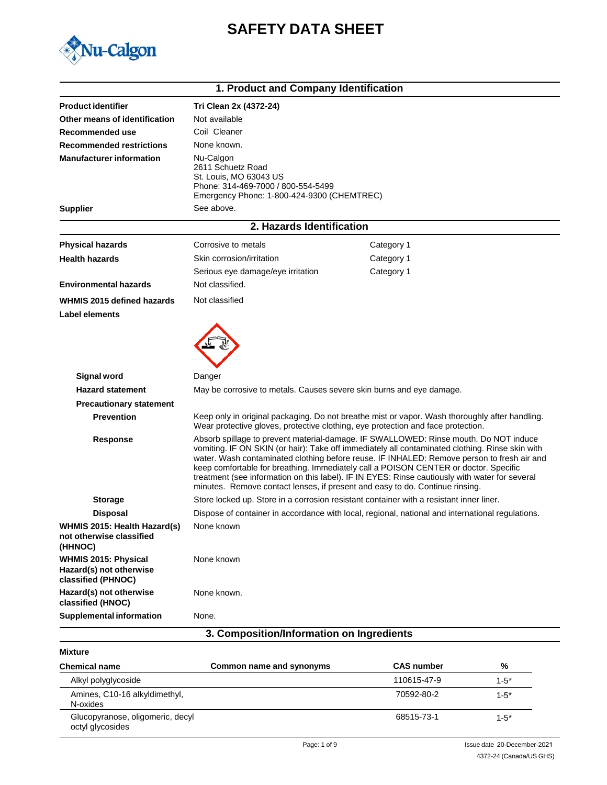# **SAFETY DATA SHEET**



|                                                                              | 1. Product and Company Identification                                                                                                                                                                                                                                                                                                                                                                                                                                                                                                                           |                                                                                                  |  |
|------------------------------------------------------------------------------|-----------------------------------------------------------------------------------------------------------------------------------------------------------------------------------------------------------------------------------------------------------------------------------------------------------------------------------------------------------------------------------------------------------------------------------------------------------------------------------------------------------------------------------------------------------------|--------------------------------------------------------------------------------------------------|--|
| <b>Product identifier</b>                                                    | Tri Clean 2x (4372-24)                                                                                                                                                                                                                                                                                                                                                                                                                                                                                                                                          |                                                                                                  |  |
| Other means of identification                                                | Not available                                                                                                                                                                                                                                                                                                                                                                                                                                                                                                                                                   |                                                                                                  |  |
| Recommended use                                                              | Coil Cleaner                                                                                                                                                                                                                                                                                                                                                                                                                                                                                                                                                    |                                                                                                  |  |
| <b>Recommended restrictions</b>                                              | None known.                                                                                                                                                                                                                                                                                                                                                                                                                                                                                                                                                     |                                                                                                  |  |
| <b>Manufacturer information</b>                                              | Nu-Calgon<br>2611 Schuetz Road<br>St. Louis, MO 63043 US<br>Phone: 314-469-7000 / 800-554-5499<br>Emergency Phone: 1-800-424-9300 (CHEMTREC)                                                                                                                                                                                                                                                                                                                                                                                                                    |                                                                                                  |  |
| <b>Supplier</b>                                                              | See above.                                                                                                                                                                                                                                                                                                                                                                                                                                                                                                                                                      |                                                                                                  |  |
|                                                                              | 2. Hazards Identification                                                                                                                                                                                                                                                                                                                                                                                                                                                                                                                                       |                                                                                                  |  |
| <b>Physical hazards</b>                                                      | Corrosive to metals                                                                                                                                                                                                                                                                                                                                                                                                                                                                                                                                             | Category 1                                                                                       |  |
| <b>Health hazards</b>                                                        | Skin corrosion/irritation                                                                                                                                                                                                                                                                                                                                                                                                                                                                                                                                       | Category 1                                                                                       |  |
|                                                                              | Serious eye damage/eye irritation                                                                                                                                                                                                                                                                                                                                                                                                                                                                                                                               | Category 1                                                                                       |  |
| <b>Environmental hazards</b>                                                 | Not classified.                                                                                                                                                                                                                                                                                                                                                                                                                                                                                                                                                 |                                                                                                  |  |
| WHMIS 2015 defined hazards                                                   | Not classified                                                                                                                                                                                                                                                                                                                                                                                                                                                                                                                                                  |                                                                                                  |  |
| Label elements                                                               |                                                                                                                                                                                                                                                                                                                                                                                                                                                                                                                                                                 |                                                                                                  |  |
| <b>Signal word</b>                                                           | Danger                                                                                                                                                                                                                                                                                                                                                                                                                                                                                                                                                          |                                                                                                  |  |
| <b>Hazard statement</b>                                                      | May be corrosive to metals. Causes severe skin burns and eye damage.                                                                                                                                                                                                                                                                                                                                                                                                                                                                                            |                                                                                                  |  |
| <b>Precautionary statement</b>                                               |                                                                                                                                                                                                                                                                                                                                                                                                                                                                                                                                                                 |                                                                                                  |  |
| <b>Prevention</b>                                                            | Wear protective gloves, protective clothing, eye protection and face protection.                                                                                                                                                                                                                                                                                                                                                                                                                                                                                | Keep only in original packaging. Do not breathe mist or vapor. Wash thoroughly after handling.   |  |
| <b>Response</b>                                                              | Absorb spillage to prevent material-damage. IF SWALLOWED: Rinse mouth. Do NOT induce<br>vomiting. IF ON SKIN (or hair): Take off immediately all contaminated clothing. Rinse skin with<br>water. Wash contaminated clothing before reuse. IF INHALED: Remove person to fresh air and<br>keep comfortable for breathing. Immediately call a POISON CENTER or doctor. Specific<br>treatment (see information on this label). IF IN EYES: Rinse cautiously with water for several<br>minutes. Remove contact lenses, if present and easy to do. Continue rinsing. |                                                                                                  |  |
| <b>Storage</b>                                                               |                                                                                                                                                                                                                                                                                                                                                                                                                                                                                                                                                                 | Store locked up. Store in a corrosion resistant container with a resistant inner liner.          |  |
| <b>Disposal</b>                                                              |                                                                                                                                                                                                                                                                                                                                                                                                                                                                                                                                                                 | Dispose of container in accordance with local, regional, national and international regulations. |  |
| WHMIS 2015: Health Hazard(s)<br>not otherwise classified<br>(HHNOC)          | None known                                                                                                                                                                                                                                                                                                                                                                                                                                                                                                                                                      |                                                                                                  |  |
| <b>WHMIS 2015: Physical</b><br>Hazard(s) not otherwise<br>classified (PHNOC) | None known                                                                                                                                                                                                                                                                                                                                                                                                                                                                                                                                                      |                                                                                                  |  |
| Hazard(s) not otherwise<br>classified (HNOC)                                 | None known.                                                                                                                                                                                                                                                                                                                                                                                                                                                                                                                                                     |                                                                                                  |  |
| <b>Supplemental information</b>                                              | None.                                                                                                                                                                                                                                                                                                                                                                                                                                                                                                                                                           |                                                                                                  |  |
|                                                                              | 3. Composition/Information on Ingredients                                                                                                                                                                                                                                                                                                                                                                                                                                                                                                                       |                                                                                                  |  |

### **Mixture**

| <b>Chemical name</b>                                 | Common name and synonyms | <b>CAS number</b> | %         |
|------------------------------------------------------|--------------------------|-------------------|-----------|
| Alkyl polyglycoside                                  |                          | 110615-47-9       | $1 - 5^*$ |
| Amines, C10-16 alkyldimethyl,<br>N-oxides            |                          | 70592-80-2        | $1 - 5^*$ |
| Glucopyranose, oligomeric, decyl<br>octyl glycosides |                          | 68515-73-1        | $1 - 5^*$ |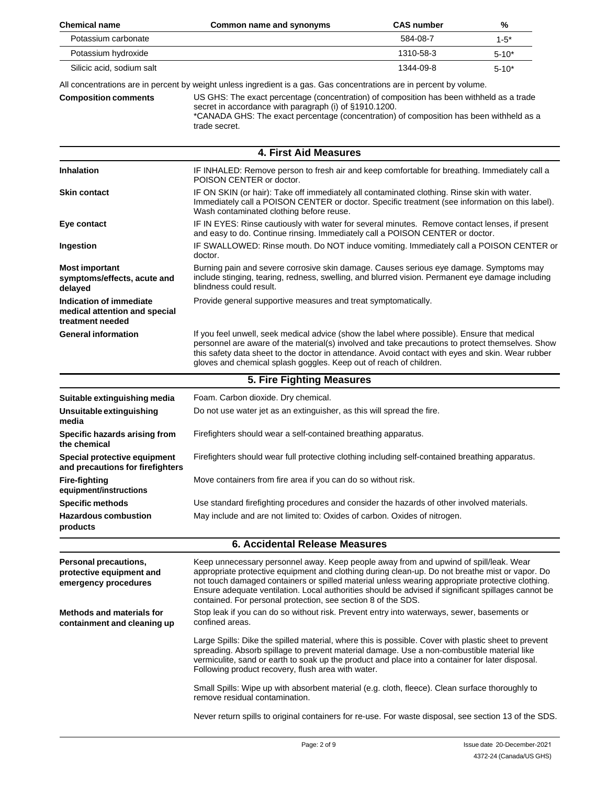| <b>Chemical name</b>                                                         | Common name and synonyms                                                                                                                                                                                                                                                                                                                                                                                                                                             | <b>CAS number</b> | %          |
|------------------------------------------------------------------------------|----------------------------------------------------------------------------------------------------------------------------------------------------------------------------------------------------------------------------------------------------------------------------------------------------------------------------------------------------------------------------------------------------------------------------------------------------------------------|-------------------|------------|
| Potassium carbonate                                                          |                                                                                                                                                                                                                                                                                                                                                                                                                                                                      | 584-08-7          | $1 - 5*$   |
| Potassium hydroxide                                                          |                                                                                                                                                                                                                                                                                                                                                                                                                                                                      | 1310-58-3         | $5 - 10*$  |
| Silicic acid, sodium salt                                                    |                                                                                                                                                                                                                                                                                                                                                                                                                                                                      | 1344-09-8         | $5 - 10^*$ |
|                                                                              | All concentrations are in percent by weight unless ingredient is a gas. Gas concentrations are in percent by volume.                                                                                                                                                                                                                                                                                                                                                 |                   |            |
| <b>Composition comments</b>                                                  | US GHS: The exact percentage (concentration) of composition has been withheld as a trade<br>secret in accordance with paragraph (i) of §1910.1200.<br>*CANADA GHS: The exact percentage (concentration) of composition has been withheld as a<br>trade secret.                                                                                                                                                                                                       |                   |            |
|                                                                              | 4. First Aid Measures                                                                                                                                                                                                                                                                                                                                                                                                                                                |                   |            |
| <b>Inhalation</b>                                                            | IF INHALED: Remove person to fresh air and keep comfortable for breathing. Immediately call a<br>POISON CENTER or doctor.                                                                                                                                                                                                                                                                                                                                            |                   |            |
| <b>Skin contact</b>                                                          | IF ON SKIN (or hair): Take off immediately all contaminated clothing. Rinse skin with water.<br>Immediately call a POISON CENTER or doctor. Specific treatment (see information on this label).<br>Wash contaminated clothing before reuse.                                                                                                                                                                                                                          |                   |            |
| Eye contact                                                                  | IF IN EYES: Rinse cautiously with water for several minutes. Remove contact lenses, if present<br>and easy to do. Continue rinsing. Immediately call a POISON CENTER or doctor.                                                                                                                                                                                                                                                                                      |                   |            |
| Ingestion                                                                    | IF SWALLOWED: Rinse mouth. Do NOT induce vomiting. Immediately call a POISON CENTER or<br>doctor.                                                                                                                                                                                                                                                                                                                                                                    |                   |            |
| <b>Most important</b><br>symptoms/effects, acute and<br>delayed              | Burning pain and severe corrosive skin damage. Causes serious eye damage. Symptoms may<br>include stinging, tearing, redness, swelling, and blurred vision. Permanent eye damage including<br>blindness could result.                                                                                                                                                                                                                                                |                   |            |
| Indication of immediate<br>medical attention and special<br>treatment needed | Provide general supportive measures and treat symptomatically.                                                                                                                                                                                                                                                                                                                                                                                                       |                   |            |
| <b>General information</b>                                                   | If you feel unwell, seek medical advice (show the label where possible). Ensure that medical<br>personnel are aware of the material(s) involved and take precautions to protect themselves. Show<br>this safety data sheet to the doctor in attendance. Avoid contact with eyes and skin. Wear rubber<br>gloves and chemical splash goggles. Keep out of reach of children.                                                                                          |                   |            |
|                                                                              | 5. Fire Fighting Measures                                                                                                                                                                                                                                                                                                                                                                                                                                            |                   |            |
| Suitable extinguishing media                                                 | Foam. Carbon dioxide. Dry chemical.                                                                                                                                                                                                                                                                                                                                                                                                                                  |                   |            |
| Unsuitable extinguishing<br>media                                            | Do not use water jet as an extinguisher, as this will spread the fire.                                                                                                                                                                                                                                                                                                                                                                                               |                   |            |
| Specific hazards arising from<br>the chemical                                | Firefighters should wear a self-contained breathing apparatus.                                                                                                                                                                                                                                                                                                                                                                                                       |                   |            |
| Special protective equipment<br>and precautions for firefighters             | Firefighters should wear full protective clothing including self-contained breathing apparatus.                                                                                                                                                                                                                                                                                                                                                                      |                   |            |
| <b>Fire-fighting</b><br>equipment/instructions                               | Move containers from fire area if you can do so without risk.                                                                                                                                                                                                                                                                                                                                                                                                        |                   |            |
| <b>Specific methods</b>                                                      | Use standard firefighting procedures and consider the hazards of other involved materials.                                                                                                                                                                                                                                                                                                                                                                           |                   |            |
| <b>Hazardous combustion</b><br>products                                      | May include and are not limited to: Oxides of carbon. Oxides of nitrogen.                                                                                                                                                                                                                                                                                                                                                                                            |                   |            |
| <b>6. Accidental Release Measures</b>                                        |                                                                                                                                                                                                                                                                                                                                                                                                                                                                      |                   |            |
| Personal precautions,<br>protective equipment and<br>emergency procedures    | Keep unnecessary personnel away. Keep people away from and upwind of spill/leak. Wear<br>appropriate protective equipment and clothing during clean-up. Do not breathe mist or vapor. Do<br>not touch damaged containers or spilled material unless wearing appropriate protective clothing.<br>Ensure adequate ventilation. Local authorities should be advised if significant spillages cannot be<br>contained. For personal protection, see section 8 of the SDS. |                   |            |
| <b>Methods and materials for</b><br>containment and cleaning up              | Stop leak if you can do so without risk. Prevent entry into waterways, sewer, basements or<br>confined areas.                                                                                                                                                                                                                                                                                                                                                        |                   |            |
|                                                                              | Large Spills: Dike the spilled material, where this is possible. Cover with plastic sheet to prevent<br>spreading. Absorb spillage to prevent material damage. Use a non-combustible material like<br>vermiculite, sand or earth to soak up the product and place into a container for later disposal.<br>Following product recovery, flush area with water.                                                                                                         |                   |            |
|                                                                              | Small Spills: Wipe up with absorbent material (e.g. cloth, fleece). Clean surface thoroughly to<br>remove residual contamination.                                                                                                                                                                                                                                                                                                                                    |                   |            |
|                                                                              | Never return spills to original containers for re-use. For waste disposal, see section 13 of the SDS.                                                                                                                                                                                                                                                                                                                                                                |                   |            |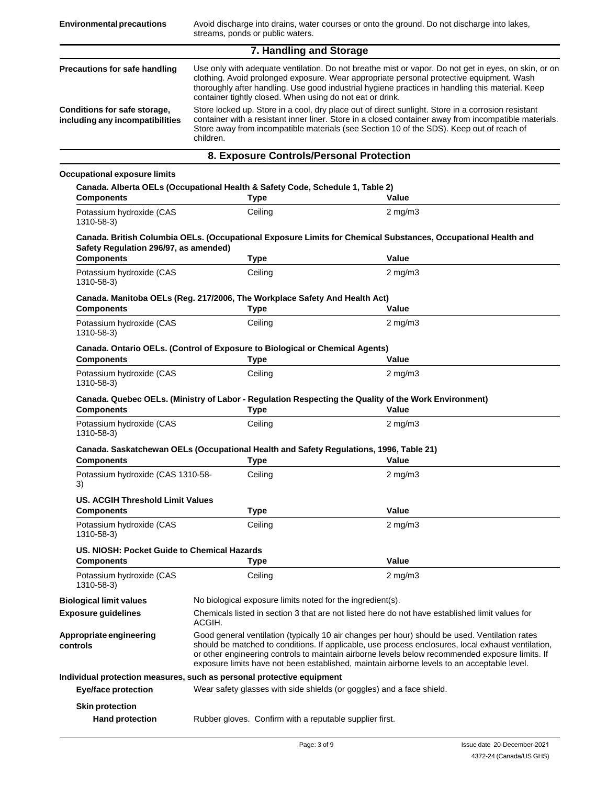| 7. Handling and Storage                                         |                                                                                                                                                                                                                                                                                                                                                                   |  |
|-----------------------------------------------------------------|-------------------------------------------------------------------------------------------------------------------------------------------------------------------------------------------------------------------------------------------------------------------------------------------------------------------------------------------------------------------|--|
| Precautions for safe handling                                   | Use only with adequate ventilation. Do not breathe mist or vapor. Do not get in eyes, on skin, or on<br>clothing. Avoid prolonged exposure. Wear appropriate personal protective equipment. Wash<br>thoroughly after handling. Use good industrial hygiene practices in handling this material. Keep<br>container tightly closed. When using do not eat or drink. |  |
| Conditions for safe storage,<br>including any incompatibilities | Store locked up. Store in a cool, dry place out of direct sunlight. Store in a corrosion resistant<br>container with a resistant inner liner. Store in a closed container away from incompatible materials.<br>Store away from incompatible materials (see Section 10 of the SDS). Keep out of reach of<br>children.                                              |  |
|                                                                 | 8. Exposure Controls/Personal Protection                                                                                                                                                                                                                                                                                                                          |  |

### **Occupational exposure limits**

| <b>Components</b>                                                     | Canada. Alberta OELs (Occupational Health & Safety Code, Schedule 1, Table 2)<br><b>Type</b> | Value                                                                                                                                                                                                                                                                                                                                                                                                  |  |
|-----------------------------------------------------------------------|----------------------------------------------------------------------------------------------|--------------------------------------------------------------------------------------------------------------------------------------------------------------------------------------------------------------------------------------------------------------------------------------------------------------------------------------------------------------------------------------------------------|--|
| Potassium hydroxide (CAS<br>1310-58-3)                                | Ceiling                                                                                      | $2$ mg/m $3$                                                                                                                                                                                                                                                                                                                                                                                           |  |
| Safety Regulation 296/97, as amended)                                 |                                                                                              | Canada. British Columbia OELs. (Occupational Exposure Limits for Chemical Substances, Occupational Health and                                                                                                                                                                                                                                                                                          |  |
| <b>Components</b>                                                     | <b>Type</b>                                                                                  | Value                                                                                                                                                                                                                                                                                                                                                                                                  |  |
| Potassium hydroxide (CAS<br>1310-58-3)                                | Ceiling                                                                                      | $2$ mg/m $3$                                                                                                                                                                                                                                                                                                                                                                                           |  |
| <b>Components</b>                                                     | Canada. Manitoba OELs (Reg. 217/2006, The Workplace Safety And Health Act)<br><b>Type</b>    | Value                                                                                                                                                                                                                                                                                                                                                                                                  |  |
| Potassium hydroxide (CAS<br>1310-58-3)                                | Ceiling                                                                                      | $2 \text{ mg/m}$                                                                                                                                                                                                                                                                                                                                                                                       |  |
|                                                                       | Canada. Ontario OELs. (Control of Exposure to Biological or Chemical Agents)                 |                                                                                                                                                                                                                                                                                                                                                                                                        |  |
| <b>Components</b>                                                     | <b>Type</b>                                                                                  | Value                                                                                                                                                                                                                                                                                                                                                                                                  |  |
| Potassium hydroxide (CAS<br>1310-58-3)                                | Ceiling                                                                                      | $2 \text{ mg/m}$ 3                                                                                                                                                                                                                                                                                                                                                                                     |  |
|                                                                       |                                                                                              | Canada. Quebec OELs. (Ministry of Labor - Regulation Respecting the Quality of the Work Environment)                                                                                                                                                                                                                                                                                                   |  |
| <b>Components</b>                                                     | <b>Type</b>                                                                                  | Value                                                                                                                                                                                                                                                                                                                                                                                                  |  |
| Potassium hydroxide (CAS<br>1310-58-3)                                | Ceiling                                                                                      | $2$ mg/m $3$                                                                                                                                                                                                                                                                                                                                                                                           |  |
|                                                                       |                                                                                              |                                                                                                                                                                                                                                                                                                                                                                                                        |  |
| <b>Components</b>                                                     | <b>Type</b>                                                                                  | Canada. Saskatchewan OELs (Occupational Health and Safety Regulations, 1996, Table 21)<br>Value                                                                                                                                                                                                                                                                                                        |  |
| Potassium hydroxide (CAS 1310-58-<br>3)                               | Ceiling                                                                                      | $2 \text{ mg/m}$                                                                                                                                                                                                                                                                                                                                                                                       |  |
| <b>US. ACGIH Threshold Limit Values</b>                               |                                                                                              |                                                                                                                                                                                                                                                                                                                                                                                                        |  |
| <b>Components</b>                                                     | <b>Type</b>                                                                                  | Value                                                                                                                                                                                                                                                                                                                                                                                                  |  |
| Potassium hydroxide (CAS<br>1310-58-3)                                | Ceiling                                                                                      | $2 \text{ mg/m}$                                                                                                                                                                                                                                                                                                                                                                                       |  |
| US. NIOSH: Pocket Guide to Chemical Hazards                           |                                                                                              |                                                                                                                                                                                                                                                                                                                                                                                                        |  |
| <b>Components</b>                                                     | <b>Type</b>                                                                                  | Value                                                                                                                                                                                                                                                                                                                                                                                                  |  |
| Potassium hydroxide (CAS<br>1310-58-3)                                | Ceiling                                                                                      | $2$ mg/m $3$                                                                                                                                                                                                                                                                                                                                                                                           |  |
| <b>Biological limit values</b>                                        | No biological exposure limits noted for the ingredient(s).                                   |                                                                                                                                                                                                                                                                                                                                                                                                        |  |
| <b>Exposure guidelines</b>                                            | ACGIH.                                                                                       | Chemicals listed in section 3 that are not listed here do not have established limit values for                                                                                                                                                                                                                                                                                                        |  |
| Appropriate engineering<br>controls                                   |                                                                                              | Good general ventilation (typically 10 air changes per hour) should be used. Ventilation rates<br>should be matched to conditions. If applicable, use process enclosures, local exhaust ventilation,<br>or other engineering controls to maintain airborne levels below recommended exposure limits. If<br>exposure limits have not been established, maintain airborne levels to an acceptable level. |  |
| Individual protection measures, such as personal protective equipment |                                                                                              |                                                                                                                                                                                                                                                                                                                                                                                                        |  |
| <b>Eye/face protection</b>                                            |                                                                                              | Wear safety glasses with side shields (or goggles) and a face shield.                                                                                                                                                                                                                                                                                                                                  |  |
| <b>Skin protection</b>                                                |                                                                                              |                                                                                                                                                                                                                                                                                                                                                                                                        |  |
| <b>Hand protection</b>                                                | Rubber gloves. Confirm with a reputable supplier first.                                      |                                                                                                                                                                                                                                                                                                                                                                                                        |  |
|                                                                       |                                                                                              |                                                                                                                                                                                                                                                                                                                                                                                                        |  |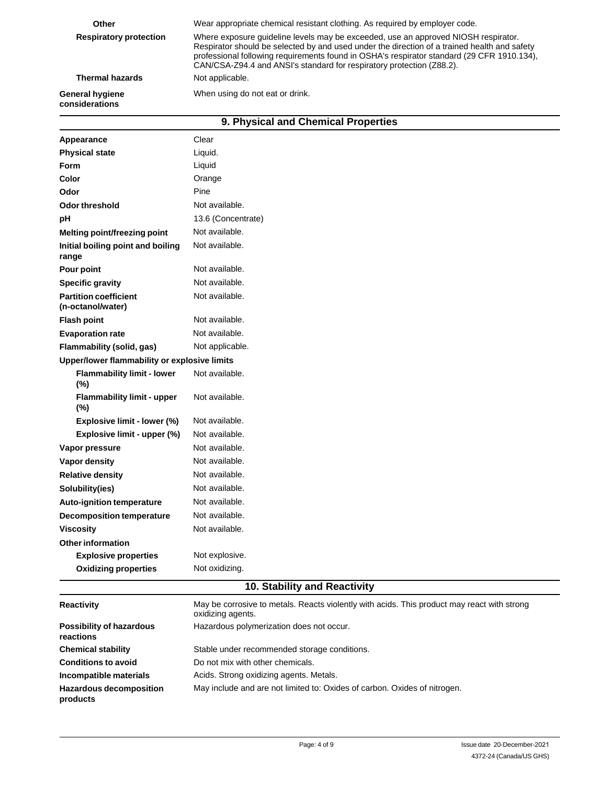| Other                                                                       | Wear appropriate chemical resistant clothing. As required by employer code.                                                                                                                                                                                                                                                                               |  |  |
|-----------------------------------------------------------------------------|-----------------------------------------------------------------------------------------------------------------------------------------------------------------------------------------------------------------------------------------------------------------------------------------------------------------------------------------------------------|--|--|
| <b>Respiratory protection</b>                                               | Where exposure quideline levels may be exceeded, use an approved NIOSH respirator.<br>Respirator should be selected by and used under the direction of a trained health and safety<br>professional following requirements found in OSHA's respirator standard (29 CFR 1910.134),<br>CAN/CSA-Z94.4 and ANSI's standard for respiratory protection (Z88.2). |  |  |
| <b>Thermal hazards</b>                                                      | Not applicable.                                                                                                                                                                                                                                                                                                                                           |  |  |
| When using do not eat or drink.<br><b>General hygiene</b><br>considerations |                                                                                                                                                                                                                                                                                                                                                           |  |  |
| 9. Physical and Chemical Properties                                         |                                                                                                                                                                                                                                                                                                                                                           |  |  |

| Appearance                                        | Clear              |
|---------------------------------------------------|--------------------|
| <b>Physical state</b>                             | Liquid.            |
| Form                                              | Liquid             |
| Color                                             | Orange             |
| Odor                                              | Pine               |
| <b>Odor threshold</b>                             | Not available.     |
| рH                                                | 13.6 (Concentrate) |
| Melting point/freezing point                      | Not available.     |
| Initial boiling point and boiling<br>range        | Not available.     |
| Pour point                                        | Not available.     |
| <b>Specific gravity</b>                           | Not available.     |
| <b>Partition coefficient</b><br>(n-octanol/water) | Not available.     |
| <b>Flash point</b>                                | Not available.     |
| <b>Evaporation rate</b>                           | Not available.     |
| Flammability (solid, gas)                         | Not applicable.    |
| Upper/lower flammability or explosive limits      |                    |
| <b>Flammability limit - lower</b><br>(%)          | Not available.     |
| <b>Flammability limit - upper</b><br>(%)          | Not available.     |
| Explosive limit - lower (%)                       | Not available.     |
| Explosive limit - upper (%)                       | Not available.     |
| Vapor pressure                                    | Not available.     |
| Vapor density                                     | Not available.     |
| <b>Relative density</b>                           | Not available.     |
| Solubility(ies)                                   | Not available.     |
| <b>Auto-ignition temperature</b>                  | Not available.     |
| <b>Decomposition temperature</b>                  | Not available.     |
| <b>Viscosity</b>                                  | Not available.     |
| <b>Other information</b>                          |                    |
| <b>Explosive properties</b>                       | Not explosive.     |
| <b>Oxidizing properties</b>                       | Not oxidizing.     |
|                                                   |                    |

### **10. Stability and Reactivity**

| <b>Reactivity</b>                            | May be corrosive to metals. Reacts violently with acids. This product may react with strong<br>oxidizing agents. |
|----------------------------------------------|------------------------------------------------------------------------------------------------------------------|
| <b>Possibility of hazardous</b><br>reactions | Hazardous polymerization does not occur.                                                                         |
| <b>Chemical stability</b>                    | Stable under recommended storage conditions.                                                                     |
| <b>Conditions to avoid</b>                   | Do not mix with other chemicals.                                                                                 |
| Incompatible materials                       | Acids. Strong oxidizing agents. Metals.                                                                          |
| <b>Hazardous decomposition</b><br>products   | May include and are not limited to: Oxides of carbon. Oxides of nitrogen.                                        |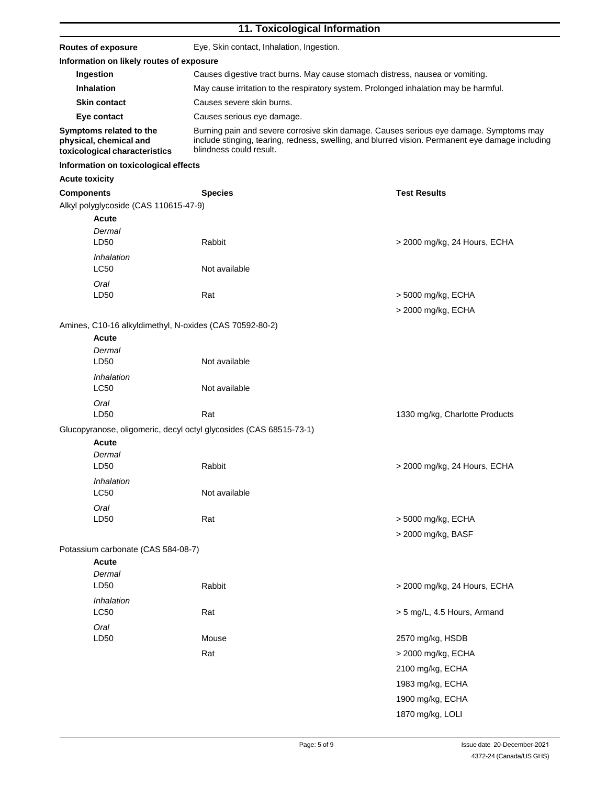### **11. Toxicological Information**

| <b>Routes of exposure</b>                                                          | Eye, Skin contact, Inhalation, Ingestion.                                                                                                                                                                             |                                          |  |
|------------------------------------------------------------------------------------|-----------------------------------------------------------------------------------------------------------------------------------------------------------------------------------------------------------------------|------------------------------------------|--|
| Information on likely routes of exposure                                           |                                                                                                                                                                                                                       |                                          |  |
| Ingestion                                                                          | Causes digestive tract burns. May cause stomach distress, nausea or vomiting.                                                                                                                                         |                                          |  |
| Inhalation                                                                         | May cause irritation to the respiratory system. Prolonged inhalation may be harmful.                                                                                                                                  |                                          |  |
| <b>Skin contact</b>                                                                | Causes severe skin burns.                                                                                                                                                                                             |                                          |  |
| Eye contact                                                                        | Causes serious eye damage.                                                                                                                                                                                            |                                          |  |
| Symptoms related to the<br>physical, chemical and<br>toxicological characteristics | Burning pain and severe corrosive skin damage. Causes serious eye damage. Symptoms may<br>include stinging, tearing, redness, swelling, and blurred vision. Permanent eye damage including<br>blindness could result. |                                          |  |
| Information on toxicological effects                                               |                                                                                                                                                                                                                       |                                          |  |
| <b>Acute toxicity</b>                                                              |                                                                                                                                                                                                                       |                                          |  |
| <b>Components</b>                                                                  | <b>Species</b>                                                                                                                                                                                                        | <b>Test Results</b>                      |  |
| Alkyl polyglycoside (CAS 110615-47-9)<br><b>Acute</b><br>Dermal<br>LD50            | Rabbit                                                                                                                                                                                                                | > 2000 mg/kg, 24 Hours, ECHA             |  |
| Inhalation<br>LC50                                                                 | Not available                                                                                                                                                                                                         |                                          |  |
| Oral<br>LD50                                                                       | Rat                                                                                                                                                                                                                   | > 5000 mg/kg, ECHA<br>> 2000 mg/kg, ECHA |  |
| Amines, C10-16 alkyldimethyl, N-oxides (CAS 70592-80-2)                            |                                                                                                                                                                                                                       |                                          |  |
| <b>Acute</b><br>Dermal<br>LD50                                                     | Not available                                                                                                                                                                                                         |                                          |  |
| Inhalation<br><b>LC50</b>                                                          | Not available                                                                                                                                                                                                         |                                          |  |
| Oral<br>LD50                                                                       | Rat                                                                                                                                                                                                                   | 1330 mg/kg, Charlotte Products           |  |
| Glucopyranose, oligomeric, decyl octyl glycosides (CAS 68515-73-1)                 |                                                                                                                                                                                                                       |                                          |  |
| Acute                                                                              |                                                                                                                                                                                                                       |                                          |  |
| Dermal<br>LD50                                                                     | Rabbit                                                                                                                                                                                                                | > 2000 mg/kg, 24 Hours, ECHA             |  |
| Inhalation<br><b>LC50</b>                                                          | Not available                                                                                                                                                                                                         |                                          |  |
| Oral<br>LD50                                                                       | Rat                                                                                                                                                                                                                   | > 5000 mg/kg, ECHA<br>> 2000 mg/kg, BASF |  |
| Potassium carbonate (CAS 584-08-7)                                                 |                                                                                                                                                                                                                       |                                          |  |
| <b>Acute</b><br>Dermal<br>LD50                                                     | Rabbit                                                                                                                                                                                                                | > 2000 mg/kg, 24 Hours, ECHA             |  |
| Inhalation<br><b>LC50</b>                                                          | Rat                                                                                                                                                                                                                   | > 5 mg/L, 4.5 Hours, Armand              |  |
| Oral                                                                               |                                                                                                                                                                                                                       |                                          |  |
| LD50                                                                               | Mouse                                                                                                                                                                                                                 | 2570 mg/kg, HSDB                         |  |
|                                                                                    | Rat                                                                                                                                                                                                                   | > 2000 mg/kg, ECHA                       |  |
|                                                                                    |                                                                                                                                                                                                                       | 2100 mg/kg, ECHA                         |  |
|                                                                                    |                                                                                                                                                                                                                       | 1983 mg/kg, ECHA                         |  |
|                                                                                    |                                                                                                                                                                                                                       |                                          |  |
|                                                                                    |                                                                                                                                                                                                                       | 1900 mg/kg, ECHA                         |  |
|                                                                                    |                                                                                                                                                                                                                       | 1870 mg/kg, LOLI                         |  |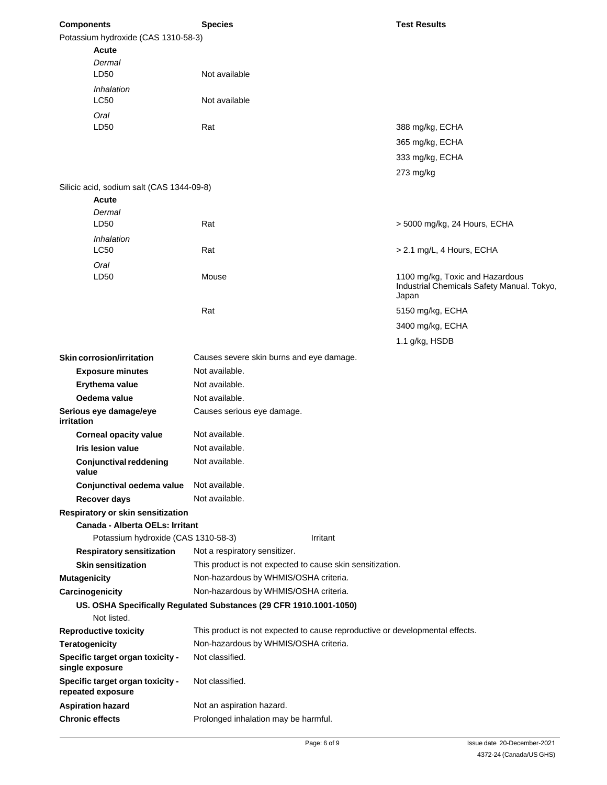| <b>Components</b>      |                                                       | <b>Species</b>                                                               |          | <b>Test Results</b>                        |  |
|------------------------|-------------------------------------------------------|------------------------------------------------------------------------------|----------|--------------------------------------------|--|
|                        | Potassium hydroxide (CAS 1310-58-3)                   |                                                                              |          |                                            |  |
|                        | Acute                                                 |                                                                              |          |                                            |  |
|                        | Dermal                                                |                                                                              |          |                                            |  |
|                        | LD50                                                  | Not available                                                                |          |                                            |  |
|                        | Inhalation                                            |                                                                              |          |                                            |  |
|                        | <b>LC50</b>                                           | Not available                                                                |          |                                            |  |
|                        | Oral                                                  |                                                                              |          |                                            |  |
|                        | LD50                                                  | Rat                                                                          |          | 388 mg/kg, ECHA                            |  |
|                        |                                                       |                                                                              |          | 365 mg/kg, ECHA                            |  |
|                        |                                                       |                                                                              |          | 333 mg/kg, ECHA                            |  |
|                        |                                                       |                                                                              |          | 273 mg/kg                                  |  |
|                        |                                                       |                                                                              |          |                                            |  |
|                        | Silicic acid, sodium salt (CAS 1344-09-8)<br>Acute    |                                                                              |          |                                            |  |
|                        | Dermal                                                |                                                                              |          |                                            |  |
|                        | LD50                                                  | Rat                                                                          |          | > 5000 mg/kg, 24 Hours, ECHA               |  |
|                        | Inhalation                                            |                                                                              |          |                                            |  |
|                        | <b>LC50</b>                                           | Rat                                                                          |          | > 2.1 mg/L, 4 Hours, ECHA                  |  |
|                        |                                                       |                                                                              |          |                                            |  |
|                        | Oral<br>LD50                                          | Mouse                                                                        |          | 1100 mg/kg, Toxic and Hazardous            |  |
|                        |                                                       |                                                                              |          | Industrial Chemicals Safety Manual. Tokyo, |  |
|                        |                                                       |                                                                              |          | Japan                                      |  |
|                        |                                                       | Rat                                                                          |          | 5150 mg/kg, ECHA                           |  |
|                        |                                                       |                                                                              |          | 3400 mg/kg, ECHA                           |  |
|                        |                                                       |                                                                              |          | 1.1 g/kg, HSDB                             |  |
|                        |                                                       |                                                                              |          |                                            |  |
|                        | <b>Skin corrosion/irritation</b>                      | Causes severe skin burns and eye damage.                                     |          |                                            |  |
|                        | <b>Exposure minutes</b>                               | Not available.                                                               |          |                                            |  |
|                        | Erythema value                                        | Not available.                                                               |          |                                            |  |
|                        | Oedema value                                          | Not available.                                                               |          |                                            |  |
| irritation             | Serious eye damage/eye                                | Causes serious eye damage.                                                   |          |                                            |  |
|                        | <b>Corneal opacity value</b>                          | Not available.                                                               |          |                                            |  |
|                        | Iris lesion value                                     | Not available.                                                               |          |                                            |  |
| value                  | Conjunctival reddening                                | Not available.                                                               |          |                                            |  |
|                        | Conjunctival oedema value                             | Not available.                                                               |          |                                            |  |
|                        | Recover days                                          | Not available.                                                               |          |                                            |  |
|                        | Respiratory or skin sensitization                     |                                                                              |          |                                            |  |
|                        | Canada - Alberta OELs: Irritant                       |                                                                              |          |                                            |  |
|                        | Potassium hydroxide (CAS 1310-58-3)                   |                                                                              | Irritant |                                            |  |
|                        | <b>Respiratory sensitization</b>                      | Not a respiratory sensitizer.                                                |          |                                            |  |
|                        | <b>Skin sensitization</b>                             | This product is not expected to cause skin sensitization.                    |          |                                            |  |
| <b>Mutagenicity</b>    |                                                       | Non-hazardous by WHMIS/OSHA criteria.                                        |          |                                            |  |
|                        | Carcinogenicity                                       | Non-hazardous by WHMIS/OSHA criteria.                                        |          |                                            |  |
|                        |                                                       | US. OSHA Specifically Regulated Substances (29 CFR 1910.1001-1050)           |          |                                            |  |
|                        | Not listed.                                           |                                                                              |          |                                            |  |
|                        | <b>Reproductive toxicity</b>                          | This product is not expected to cause reproductive or developmental effects. |          |                                            |  |
| <b>Teratogenicity</b>  |                                                       | Non-hazardous by WHMIS/OSHA criteria.                                        |          |                                            |  |
|                        | Specific target organ toxicity -<br>single exposure   | Not classified.                                                              |          |                                            |  |
|                        | Specific target organ toxicity -<br>repeated exposure | Not classified.                                                              |          |                                            |  |
|                        | <b>Aspiration hazard</b>                              | Not an aspiration hazard.                                                    |          |                                            |  |
| <b>Chronic effects</b> |                                                       | Prolonged inhalation may be harmful.                                         |          |                                            |  |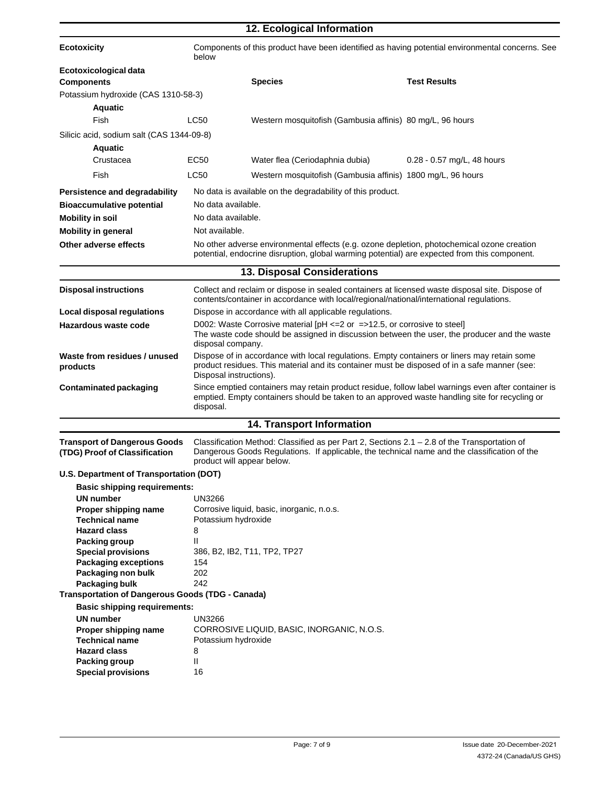|                                                                      |                                                                                                                                                                                                                            | 12. Ecological Information                                                                                                                                                                  |                            |
|----------------------------------------------------------------------|----------------------------------------------------------------------------------------------------------------------------------------------------------------------------------------------------------------------------|---------------------------------------------------------------------------------------------------------------------------------------------------------------------------------------------|----------------------------|
| <b>Ecotoxicity</b>                                                   | Components of this product have been identified as having potential environmental concerns. See<br>below                                                                                                                   |                                                                                                                                                                                             |                            |
| Ecotoxicological data                                                |                                                                                                                                                                                                                            |                                                                                                                                                                                             |                            |
| <b>Components</b>                                                    |                                                                                                                                                                                                                            | <b>Species</b>                                                                                                                                                                              | <b>Test Results</b>        |
| Potassium hydroxide (CAS 1310-58-3)                                  |                                                                                                                                                                                                                            |                                                                                                                                                                                             |                            |
| <b>Aquatic</b>                                                       |                                                                                                                                                                                                                            |                                                                                                                                                                                             |                            |
| Fish                                                                 | <b>LC50</b>                                                                                                                                                                                                                | Western mosquitofish (Gambusia affinis) 80 mg/L, 96 hours                                                                                                                                   |                            |
| Silicic acid, sodium salt (CAS 1344-09-8)                            |                                                                                                                                                                                                                            |                                                                                                                                                                                             |                            |
| <b>Aquatic</b>                                                       |                                                                                                                                                                                                                            |                                                                                                                                                                                             |                            |
| Crustacea                                                            | EC50                                                                                                                                                                                                                       | Water flea (Ceriodaphnia dubia)                                                                                                                                                             | 0.28 - 0.57 mg/L, 48 hours |
| Fish                                                                 | <b>LC50</b>                                                                                                                                                                                                                | Western mosquitofish (Gambusia affinis) 1800 mg/L, 96 hours                                                                                                                                 |                            |
| Persistence and degradability                                        |                                                                                                                                                                                                                            | No data is available on the degradability of this product.                                                                                                                                  |                            |
| <b>Bioaccumulative potential</b>                                     | No data available.                                                                                                                                                                                                         |                                                                                                                                                                                             |                            |
| <b>Mobility in soil</b>                                              | No data available.                                                                                                                                                                                                         |                                                                                                                                                                                             |                            |
| <b>Mobility in general</b>                                           | Not available.                                                                                                                                                                                                             |                                                                                                                                                                                             |                            |
| Other adverse effects                                                |                                                                                                                                                                                                                            | No other adverse environmental effects (e.g. ozone depletion, photochemical ozone creation<br>potential, endocrine disruption, global warming potential) are expected from this component.  |                            |
|                                                                      |                                                                                                                                                                                                                            | <b>13. Disposal Considerations</b>                                                                                                                                                          |                            |
| <b>Disposal instructions</b>                                         |                                                                                                                                                                                                                            | Collect and reclaim or dispose in sealed containers at licensed waste disposal site. Dispose of<br>contents/container in accordance with local/regional/national/international regulations. |                            |
| Local disposal regulations                                           |                                                                                                                                                                                                                            | Dispose in accordance with all applicable regulations.                                                                                                                                      |                            |
| Hazardous waste code                                                 | D002: Waste Corrosive material $[PH \le 2$ or =>12.5, or corrosive to steel]<br>The waste code should be assigned in discussion between the user, the producer and the waste<br>disposal company.                          |                                                                                                                                                                                             |                            |
| Waste from residues / unused<br>products                             | Dispose of in accordance with local regulations. Empty containers or liners may retain some<br>product residues. This material and its container must be disposed of in a safe manner (see:<br>Disposal instructions).     |                                                                                                                                                                                             |                            |
| <b>Contaminated packaging</b>                                        | Since emptied containers may retain product residue, follow label warnings even after container is<br>emptied. Empty containers should be taken to an approved waste handling site for recycling or<br>disposal.           |                                                                                                                                                                                             |                            |
|                                                                      |                                                                                                                                                                                                                            | <b>14. Transport Information</b>                                                                                                                                                            |                            |
| <b>Transport of Dangerous Goods</b><br>(TDG) Proof of Classification | Classification Method: Classified as per Part 2, Sections 2.1 – 2.8 of the Transportation of<br>Dangerous Goods Regulations. If applicable, the technical name and the classification of the<br>product will appear below. |                                                                                                                                                                                             |                            |
| U.S. Department of Transportation (DOT)                              |                                                                                                                                                                                                                            |                                                                                                                                                                                             |                            |
| <b>Basic shipping requirements:</b>                                  |                                                                                                                                                                                                                            |                                                                                                                                                                                             |                            |
| <b>UN number</b>                                                     | <b>UN3266</b>                                                                                                                                                                                                              |                                                                                                                                                                                             |                            |
| Proper shipping name<br><b>Technical name</b>                        | Potassium hydroxide                                                                                                                                                                                                        | Corrosive liquid, basic, inorganic, n.o.s.                                                                                                                                                  |                            |
| <b>Hazard class</b>                                                  | 8                                                                                                                                                                                                                          |                                                                                                                                                                                             |                            |
| <b>Packing group</b>                                                 | Ш                                                                                                                                                                                                                          |                                                                                                                                                                                             |                            |
| <b>Special provisions</b>                                            | 386, B2, IB2, T11, TP2, TP27                                                                                                                                                                                               |                                                                                                                                                                                             |                            |
| <b>Packaging exceptions</b>                                          | 154                                                                                                                                                                                                                        |                                                                                                                                                                                             |                            |
| Packaging bulk                                                       | 202<br>Packaging non bulk<br>242                                                                                                                                                                                           |                                                                                                                                                                                             |                            |
| <b>Transportation of Dangerous Goods (TDG - Canada)</b>              |                                                                                                                                                                                                                            |                                                                                                                                                                                             |                            |
| <b>Basic shipping requirements:</b>                                  |                                                                                                                                                                                                                            |                                                                                                                                                                                             |                            |
| <b>UN</b> number                                                     | <b>UN3266</b>                                                                                                                                                                                                              |                                                                                                                                                                                             |                            |
| Proper shipping name                                                 |                                                                                                                                                                                                                            | CORROSIVE LIQUID, BASIC, INORGANIC, N.O.S.                                                                                                                                                  |                            |
| <b>Technical name</b><br><b>Hazard class</b>                         | Potassium hydroxide<br>8                                                                                                                                                                                                   |                                                                                                                                                                                             |                            |
| Packing group                                                        | Ш                                                                                                                                                                                                                          |                                                                                                                                                                                             |                            |
| <b>Special provisions</b>                                            | 16                                                                                                                                                                                                                         |                                                                                                                                                                                             |                            |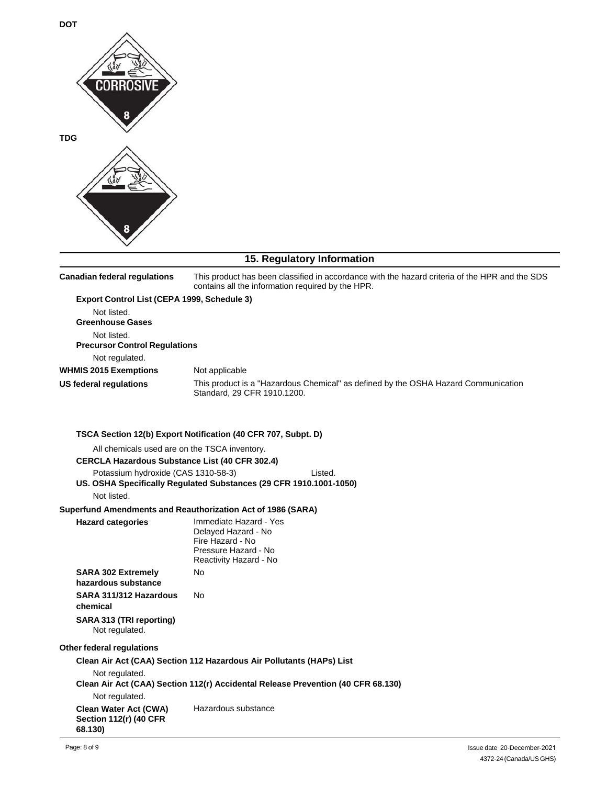

## **15. Regulatory Information**

| <b>Canadian federal regulations</b>                                                                                                 | This product has been classified in accordance with the hazard criteria of the HPR and the SDS<br>contains all the information required by the HPR. |  |  |  |
|-------------------------------------------------------------------------------------------------------------------------------------|-----------------------------------------------------------------------------------------------------------------------------------------------------|--|--|--|
| Export Control List (CEPA 1999, Schedule 3)<br>Not listed.<br><b>Greenhouse Gases</b><br>Not listed.                                |                                                                                                                                                     |  |  |  |
| <b>Precursor Control Regulations</b>                                                                                                |                                                                                                                                                     |  |  |  |
| Not regulated.<br><b>WHMIS 2015 Exemptions</b>                                                                                      | Not applicable                                                                                                                                      |  |  |  |
| <b>US federal regulations</b>                                                                                                       | This product is a "Hazardous Chemical" as defined by the OSHA Hazard Communication<br>Standard, 29 CFR 1910.1200.                                   |  |  |  |
|                                                                                                                                     | TSCA Section 12(b) Export Notification (40 CFR 707, Subpt. D)                                                                                       |  |  |  |
| All chemicals used are on the TSCA inventory.<br><b>CERCLA Hazardous Substance List (40 CFR 302.4)</b>                              |                                                                                                                                                     |  |  |  |
| Potassium hydroxide (CAS 1310-58-3)<br>Listed.<br>US. OSHA Specifically Regulated Substances (29 CFR 1910.1001-1050)<br>Not listed. |                                                                                                                                                     |  |  |  |
|                                                                                                                                     | Superfund Amendments and Reauthorization Act of 1986 (SARA)                                                                                         |  |  |  |
| <b>Hazard categories</b>                                                                                                            | Immediate Hazard - Yes<br>Delayed Hazard - No<br>Fire Hazard - No<br>Pressure Hazard - No<br>Reactivity Hazard - No                                 |  |  |  |
| <b>SARA 302 Extremely</b>                                                                                                           | <b>No</b>                                                                                                                                           |  |  |  |
| hazardous substance                                                                                                                 |                                                                                                                                                     |  |  |  |
| SARA 311/312 Hazardous<br>chemical                                                                                                  | No                                                                                                                                                  |  |  |  |
| SARA 313 (TRI reporting)<br>Not regulated.                                                                                          |                                                                                                                                                     |  |  |  |
| Other federal regulations                                                                                                           |                                                                                                                                                     |  |  |  |
|                                                                                                                                     | Clean Air Act (CAA) Section 112 Hazardous Air Pollutants (HAPs) List                                                                                |  |  |  |
| Not regulated.                                                                                                                      | Clean Air Act (CAA) Section 112(r) Accidental Release Prevention (40 CFR 68.130)                                                                    |  |  |  |
| Not regulated.                                                                                                                      |                                                                                                                                                     |  |  |  |
| <b>Clean Water Act (CWA)</b><br><b>Section 112(r) (40 CFR</b><br>68.130)                                                            | Hazardous substance                                                                                                                                 |  |  |  |